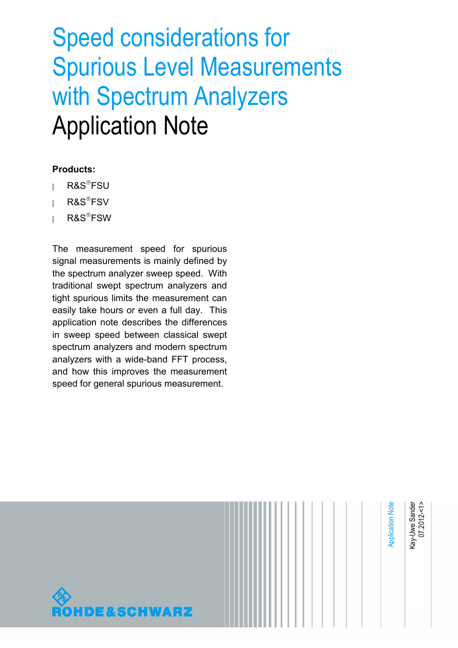# Speed considerations for Spurious Level Measurements with Spectrum Analyzers Application Note

#### **Products:**

- **<sup>|</sup>** R&SFSU
- **<sup>|</sup>** R&SFSV
- **<sup>|</sup>** R&SFSW

The measurement speed for spurious signal measurements is mainly defined by the spectrum analyzer sweep speed. With traditional swept spectrum analyzers and tight spurious limits the measurement can easily take hours or even a full day. This application note describes the differences in sweep speed between classical swept spectrum analyzers and modern spectrum analyzers with a wide-band FFT process, and how this improves the measurement speed for general spurious measurement.

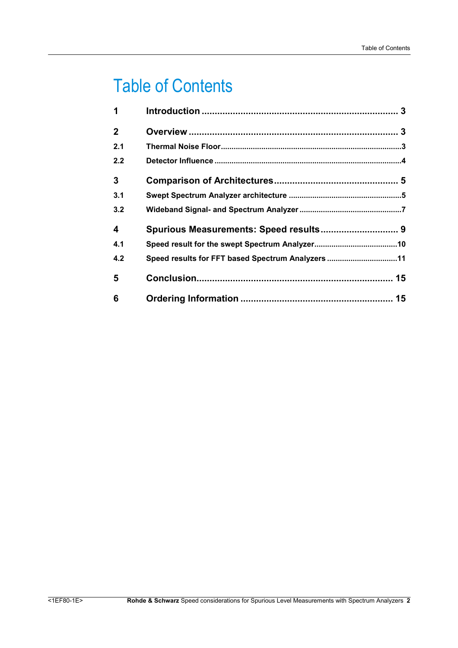## Table of Contents

| 1                       |                                                   |  |
|-------------------------|---------------------------------------------------|--|
| $\mathbf{2}$            |                                                   |  |
| 2.1                     |                                                   |  |
| 2.2                     |                                                   |  |
| 3                       |                                                   |  |
| 3.1                     |                                                   |  |
| 3.2                     |                                                   |  |
| $\overline{\mathbf{4}}$ | Spurious Measurements: Speed results 9            |  |
| 4.1                     |                                                   |  |
| 4.2                     | Speed results for FFT based Spectrum Analyzers 11 |  |
| 5                       |                                                   |  |
| 6                       |                                                   |  |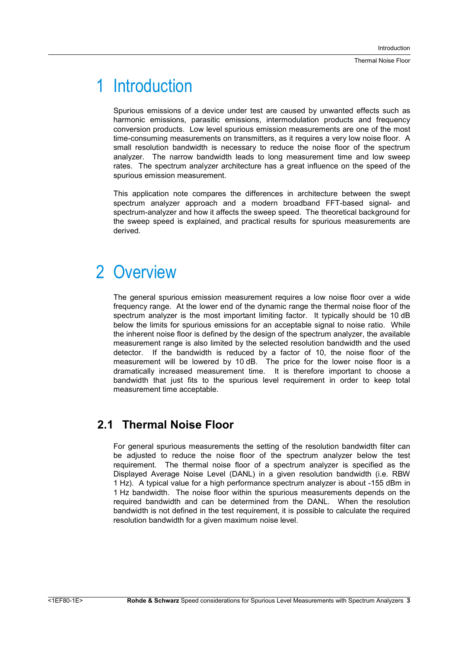## 1 Introduction

Spurious emissions of a device under test are caused by unwanted effects such as harmonic emissions, parasitic emissions, intermodulation products and frequency conversion products. Low level spurious emission measurements are one of the most time-consuming measurements on transmitters, as it requires a very low noise floor. A small resolution bandwidth is necessary to reduce the noise floor of the spectrum analyzer. The narrow bandwidth leads to long measurement time and low sweep rates. The spectrum analyzer architecture has a great influence on the speed of the spurious emission measurement.

This application note compares the differences in architecture between the swept spectrum analyzer approach and a modern broadband FFT-based signal- and spectrum-analyzer and how it affects the sweep speed. The theoretical background for the sweep speed is explained, and practical results for spurious measurements are derived.

## 2 Overview

The general spurious emission measurement requires a low noise floor over a wide frequency range. At the lower end of the dynamic range the thermal noise floor of the spectrum analyzer is the most important limiting factor. It typically should be 10 dB below the limits for spurious emissions for an acceptable signal to noise ratio. While the inherent noise floor is defined by the design of the spectrum analyzer, the available measurement range is also limited by the selected resolution bandwidth and the used detector. If the bandwidth is reduced by a factor of 10, the noise floor of the measurement will be lowered by 10 dB. The price for the lower noise floor is a dramatically increased measurement time. It is therefore important to choose a bandwidth that just fits to the spurious level requirement in order to keep total measurement time acceptable.

### **2.1 Thermal Noise Floor**

For general spurious measurements the setting of the resolution bandwidth filter can be adjusted to reduce the noise floor of the spectrum analyzer below the test requirement. The thermal noise floor of a spectrum analyzer is specified as the Displayed Average Noise Level (DANL) in a given resolution bandwidth (i.e. RBW 1 Hz). A typical value for a high performance spectrum analyzer is about -155 dBm in 1 Hz bandwidth. The noise floor within the spurious measurements depends on the required bandwidth and can be determined from the DANL. When the resolution bandwidth is not defined in the test requirement, it is possible to calculate the required resolution bandwidth for a given maximum noise level.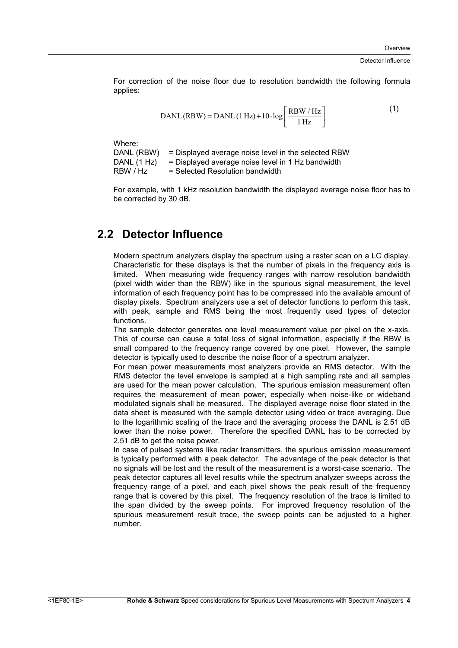#### Detector Influence

For correction of the noise floor due to resolution bandwidth the following formula applies:

$$
DANL (RBW) = DANL (1 Hz) + 10 \cdot \log \left[ \frac{RBW / Hz}{1 Hz} \right]
$$
 (1)

Where:

DANL (RBW) = Displayed average noise level in the selected RBW DANL  $(1 Hz)$  = Displayed average noise level in 1 Hz bandwidth  $RBW / Hz$  = Selected Resolution bandwidth

For example, with 1 kHz resolution bandwidth the displayed average noise floor has to be corrected by 30 dB.

### **2.2 Detector Influence**

Modern spectrum analyzers display the spectrum using a raster scan on a LC display. Characteristic for these displays is that the number of pixels in the frequency axis is limited. When measuring wide frequency ranges with narrow resolution bandwidth (pixel width wider than the RBW) like in the spurious signal measurement, the level information of each frequency point has to be compressed into the available amount of display pixels. Spectrum analyzers use a set of detector functions to perform this task, with peak, sample and RMS being the most frequently used types of detector functions.

The sample detector generates one level measurement value per pixel on the x-axis. This of course can cause a total loss of signal information, especially if the RBW is small compared to the frequency range covered by one pixel. However, the sample detector is typically used to describe the noise floor of a spectrum analyzer.

For mean power measurements most analyzers provide an RMS detector. With the RMS detector the level envelope is sampled at a high sampling rate and all samples are used for the mean power calculation. The spurious emission measurement often requires the measurement of mean power, especially when noise-like or wideband modulated signals shall be measured. The displayed average noise floor stated in the data sheet is measured with the sample detector using video or trace averaging. Due to the logarithmic scaling of the trace and the averaging process the DANL is 2.51 dB lower than the noise power. Therefore the specified DANL has to be corrected by 2.51 dB to get the noise power.

In case of pulsed systems like radar transmitters, the spurious emission measurement is typically performed with a peak detector. The advantage of the peak detector is that no signals will be lost and the result of the measurement is a worst-case scenario. The peak detector captures all level results while the spectrum analyzer sweeps across the frequency range of a pixel, and each pixel shows the peak result of the frequency range that is covered by this pixel. The frequency resolution of the trace is limited to the span divided by the sweep points. For improved frequency resolution of the spurious measurement result trace, the sweep points can be adjusted to a higher number.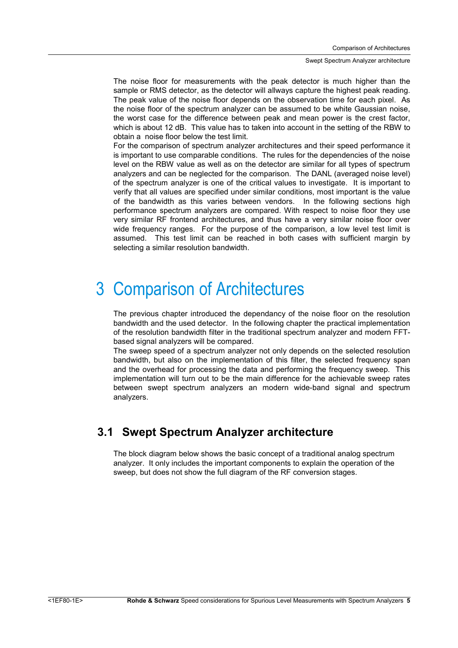The noise floor for measurements with the peak detector is much higher than the sample or RMS detector, as the detector will allways capture the highest peak reading. The peak value of the noise floor depends on the observation time for each pixel. As the noise floor of the spectrum analyzer can be assumed to be white Gaussian noise, the worst case for the difference between peak and mean power is the crest factor, which is about 12 dB. This value has to taken into account in the setting of the RBW to obtain a noise floor below the test limit.

For the comparison of spectrum analyzer architectures and their speed performance it is important to use comparable conditions. The rules for the dependencies of the noise level on the RBW value as well as on the detector are similar for all types of spectrum analyzers and can be neglected for the comparison. The DANL (averaged noise level) of the spectrum analyzer is one of the critical values to investigate. It is important to verify that all values are specified under similar conditions, most important is the value of the bandwidth as this varies between vendors. In the following sections high performance spectrum analyzers are compared. With respect to noise floor they use very similar RF frontend architectures, and thus have a very similar noise floor over wide frequency ranges. For the purpose of the comparison, a low level test limit is assumed. This test limit can be reached in both cases with sufficient margin by selecting a similar resolution bandwidth.

## 3 Comparison of Architectures

The previous chapter introduced the dependancy of the noise floor on the resolution bandwidth and the used detector. In the following chapter the practical implementation of the resolution bandwidth filter in the traditional spectrum analyzer and modern FFTbased signal analyzers will be compared.

The sweep speed of a spectrum analyzer not only depends on the selected resolution bandwidth, but also on the implementation of this filter, the selected frequency span and the overhead for processing the data and performing the frequency sweep. This implementation will turn out to be the main difference for the achievable sweep rates between swept spectrum analyzers an modern wide-band signal and spectrum analyzers.

### **3.1 Swept Spectrum Analyzer architecture**

The block diagram below shows the basic concept of a traditional analog spectrum analyzer. It only includes the important components to explain the operation of the sweep, but does not show the full diagram of the RF conversion stages.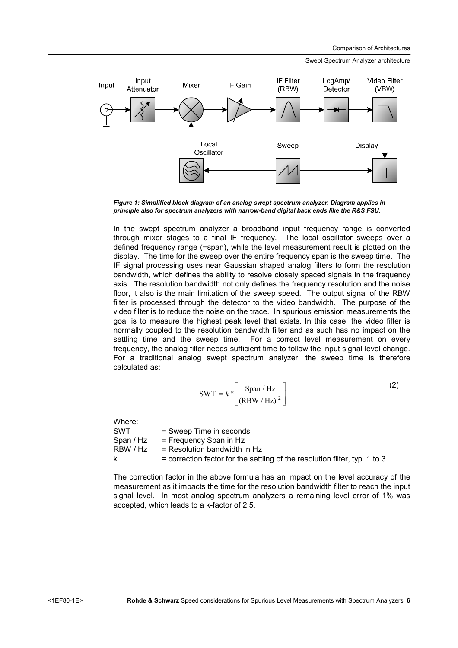Swept Spectrum Analyzer architecture



*Figure 1: Simplified block diagram of an analog swept spectrum analyzer. Diagram applies in principle also for spectrum analyzers with narrow-band digital back ends like the R&S FSU.* 

In the swept spectrum analyzer a broadband input frequency range is converted through mixer stages to a final IF frequency. The local oscillator sweeps over a defined frequency range (=span), while the level measurement result is plotted on the display. The time for the sweep over the entire frequency span is the sweep time. The IF signal processing uses near Gaussian shaped analog filters to form the resolution bandwidth, which defines the ability to resolve closely spaced signals in the frequency axis. The resolution bandwidth not only defines the frequency resolution and the noise floor, it also is the main limitation of the sweep speed. The output signal of the RBW filter is processed through the detector to the video bandwidth. The purpose of the video filter is to reduce the noise on the trace. In spurious emission measurements the goal is to measure the highest peak level that exists. In this case, the video filter is normally coupled to the resolution bandwidth filter and as such has no impact on the settling time and the sweep time. For a correct level measurement on every frequency, the analog filter needs sufficient time to follow the input signal level change. For a traditional analog swept spectrum analyzer, the sweep time is therefore calculated as:

$$
SWT = k * \left[ \frac{Span / Hz}{\left( RBW / Hz \right)^2} \right]
$$
 (2)

Where: SWT = Sweep Time in seconds  $Span / Hz$  = Frequency Span in Hz  $RBW / Hz$  = Resolution bandwidth in Hz  $k =$  correction factor for the settling of the resolution filter, typ. 1 to 3

The correction factor in the above formula has an impact on the level accuracy of the measurement as it impacts the time for the resolution bandwidth filter to reach the input signal level. In most analog spectrum analyzers a remaining level error of 1% was accepted, which leads to a k-factor of 2.5.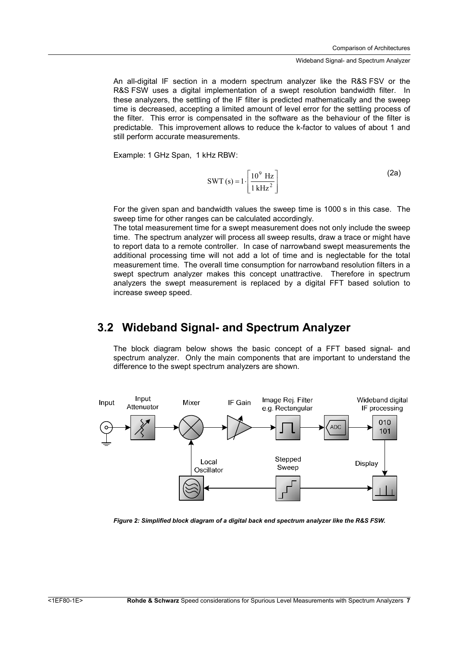An all-digital IF section in a modern spectrum analyzer like the R&S FSV or the R&S FSW uses a digital implementation of a swept resolution bandwidth filter. In these analyzers, the settling of the IF filter is predicted mathematically and the sweep time is decreased, accepting a limited amount of level error for the settling process of the filter. This error is compensated in the software as the behaviour of the filter is predictable. This improvement allows to reduce the k-factor to values of about 1 and still perform accurate measurements.

Example: 1 GHz Span, 1 kHz RBW:

$$
SWT(s) = 1 \cdot \left[ \frac{10^9 \text{ Hz}}{1 \text{ kHz}^2} \right]
$$
 (2a)

For the given span and bandwidth values the sweep time is 1000 s in this case. The sweep time for other ranges can be calculated accordingly.

The total measurement time for a swept measurement does not only include the sweep time. The spectrum analyzer will process all sweep results, draw a trace or might have to report data to a remote controller. In case of narrowband swept measurements the additional processing time will not add a lot of time and is neglectable for the total measurement time. The overall time consumption for narrowband resolution filters in a swept spectrum analyzer makes this concept unattractive. Therefore in spectrum analyzers the swept measurement is replaced by a digital FFT based solution to increase sweep speed.

### **3.2 Wideband Signal- and Spectrum Analyzer**

The block diagram below shows the basic concept of a FFT based signal- and spectrum analyzer. Only the main components that are important to understand the difference to the swept spectrum analyzers are shown.



*Figure 2: Simplified block diagram of a digital back end spectrum analyzer like the R&S FSW.*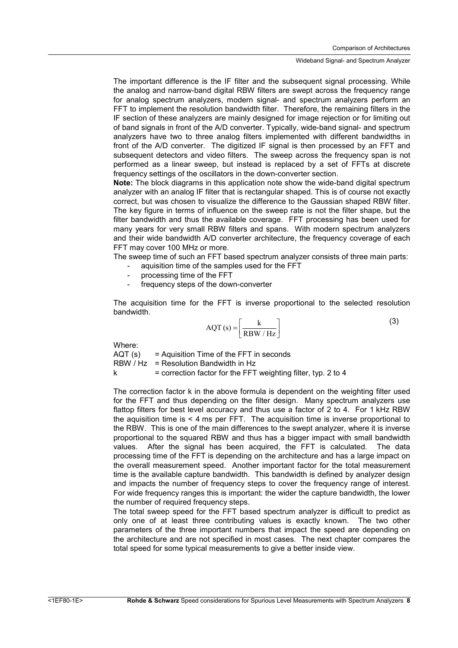The important difference is the IF filter and the subsequent signal processing. While the analog and narrow-band digital RBW filters are swept across the frequency range for analog spectrum analyzers, modern signal- and spectrum analyzers perform an FFT to implement the resolution bandwidth filter. Therefore, the remaining filters in the IF section of these analyzers are mainly designed for image rejection or for limiting out of band signals in front of the A/D converter. Typically, wide-band signal- and spectrum analyzers have two to three analog filters implemented with different bandwidths in front of the A/D converter. The digitized IF signal is then processed by an FFT and subsequent detectors and video filters. The sweep across the frequency span is not performed as a linear sweep, but instead is replaced by a set of FFTs at discrete frequency settings of the oscillators in the down-converter section.

**Note:** The block diagrams in this application note show the wide-band digital spectrum analyzer with an analog IF filter that is rectangular shaped. This is of course not exactly correct, but was chosen to visualize the difference to the Gaussian shaped RBW filter. The key figure in terms of influence on the sweep rate is not the filter shape, but the filter bandwidth and thus the available coverage. FFT processing has been used for many years for very small RBW filters and spans. With modern spectrum analyzers and their wide bandwidth A/D converter architecture, the frequency coverage of each FFT may cover 100 MHz or more.

The sweep time of such an FFT based spectrum analyzer consists of three main parts:

- aquisition time of the samples used for the FFT
- processing time of the FFT
- frequency steps of the down-converter

The acquisition time for the FFT is inverse proportional to the selected resolution bandwidth.

$$
AQT(s) = \left[\frac{k}{RBW/Hz}\right]
$$
 (3)

Where:

 $AQT(s)$  = Aquisition Time of the FFT in seconds  $RBW / Hz$  = Resolution Bandwidth in Hz  $k =$  correction factor for the FFT weighting filter, typ. 2 to 4

The correction factor k in the above formula is dependent on the weighting filter used for the FFT and thus depending on the filter design. Many spectrum analyzers use flattop filters for best level accuracy and thus use a factor of 2 to 4. For 1 kHz RBW the aquisition time is < 4 ms per FFT. The acquisition time is inverse proportional to the RBW. This is one of the main differences to the swept analyzer, where it is inverse proportional to the squared RBW and thus has a bigger impact with small bandwidth values. After the signal has been acquired, the FFT is calculated. The data processing time of the FFT is depending on the architecture and has a large impact on the overall measurement speed. Another important factor for the total measurement time is the available capture bandwidth. This bandwidth is defined by analyzer design and impacts the number of frequency steps to cover the frequency range of interest. For wide frequency ranges this is important: the wider the capture bandwidth, the lower the number of required frequency steps.

The total sweep speed for the FFT based spectrum analyzer is difficult to predict as only one of at least three contributing values is exactly known. The two other parameters of the three important numbers that impact the speed are depending on the architecture and are not specified in most cases. The next chapter compares the total speed for some typical measurements to give a better inside view.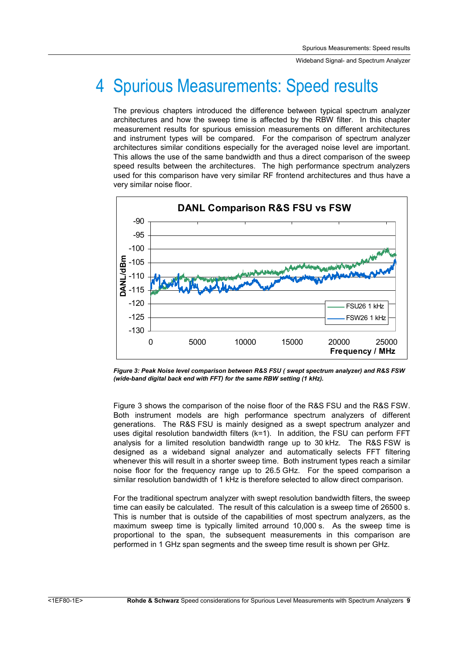## 4 Spurious Measurements: Speed results

The previous chapters introduced the difference between typical spectrum analyzer architectures and how the sweep time is affected by the RBW filter. In this chapter measurement results for spurious emission measurements on different architectures and instrument types will be compared. For the comparison of spectrum analyzer architectures similar conditions especially for the averaged noise level are important. This allows the use of the same bandwidth and thus a direct comparison of the sweep speed results between the architectures. The high performance spectrum analyzers used for this comparison have very similar RF frontend architectures and thus have a very similar noise floor.



*Figure 3: Peak Noise level comparison between R&S FSU ( swept spectrum analyzer) and R&S FSW (wide-band digital back end with FFT) for the same RBW setting (1 kHz).* 

Figure 3 shows the comparison of the noise floor of the R&S FSU and the R&S FSW. Both instrument models are high performance spectrum analyzers of different generations. The R&S FSU is mainly designed as a swept spectrum analyzer and uses digital resolution bandwidth filters (k=1). In addition, the FSU can perform FFT analysis for a limited resolution bandwidth range up to 30 kHz. The R&S FSW is designed as a wideband signal analyzer and automatically selects FFT filtering whenever this will result in a shorter sweep time. Both instrument types reach a similar noise floor for the frequency range up to 26.5 GHz. For the speed comparison a similar resolution bandwidth of 1 kHz is therefore selected to allow direct comparison.

For the traditional spectrum analyzer with swept resolution bandwidth filters, the sweep time can easily be calculated. The result of this calculation is a sweep time of 26500 s. This is number that is outside of the capabilities of most spectrum analyzers, as the maximum sweep time is typically limited arround 10,000 s. As the sweep time is proportional to the span, the subsequent measurements in this comparison are performed in 1 GHz span segments and the sweep time result is shown per GHz.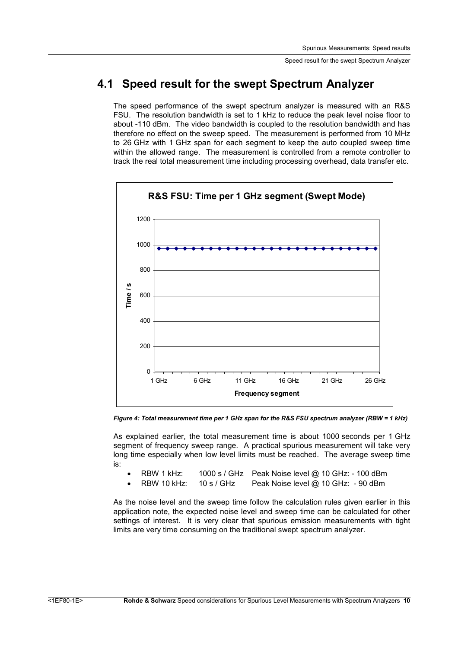### **4.1 Speed result for the swept Spectrum Analyzer**

The speed performance of the swept spectrum analyzer is measured with an R&S FSU. The resolution bandwidth is set to 1 kHz to reduce the peak level noise floor to about -110 dBm. The video bandwidth is coupled to the resolution bandwidth and has therefore no effect on the sweep speed. The measurement is performed from 10 MHz to 26 GHz with 1 GHz span for each segment to keep the auto coupled sweep time within the allowed range. The measurement is controlled from a remote controller to track the real total measurement time including processing overhead, data transfer etc.



*Figure 4: Total measurement time per 1 GHz span for the R&S FSU spectrum analyzer (RBW = 1 kHz)* 

As explained earlier, the total measurement time is about 1000 seconds per 1 GHz segment of frequency sweep range. A practical spurious measurement will take very long time especially when low level limits must be reached. The average sweep time is:

- RBW 1 kHz: 1000 s / GHz Peak Noise level @ 10 GHz: 100 dBm
- RBW 10 kHz: 10 s / GHz Peak Noise level @ 10 GHz: 90 dBm

As the noise level and the sweep time follow the calculation rules given earlier in this application note, the expected noise level and sweep time can be calculated for other settings of interest. It is very clear that spurious emission measurements with tight limits are very time consuming on the traditional swept spectrum analyzer.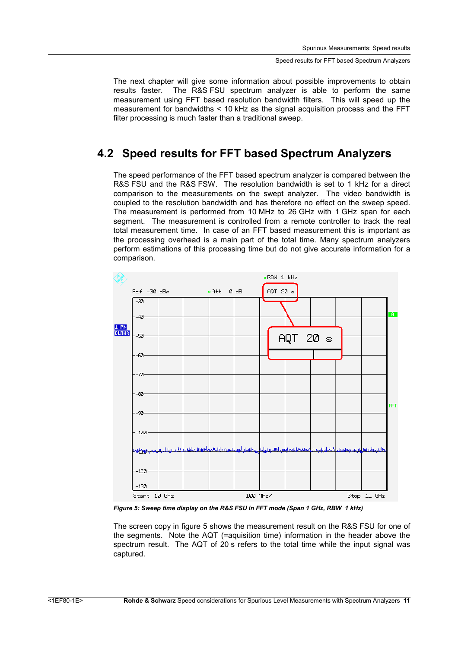The next chapter will give some information about possible improvements to obtain results faster. The R&S FSU spectrum analyzer is able to perform the same measurement using FFT based resolution bandwidth filters. This will speed up the measurement for bandwidths < 10 kHz as the signal acquisition process and the FFT filter processing is much faster than a traditional sweep.

### **4.2 Speed results for FFT based Spectrum Analyzers**

The speed performance of the FFT based spectrum analyzer is compared between the R&S FSU and the R&S FSW. The resolution bandwidth is set to 1 kHz for a direct comparison to the measurements on the swept analyzer. The video bandwidth is coupled to the resolution bandwidth and has therefore no effect on the sweep speed. The measurement is performed from 10 MHz to 26 GHz with 1 GHz span for each segment. The measurement is controlled from a remote controller to track the real total measurement time. In case of an FFT based measurement this is important as the processing overhead is a main part of the total time. Many spectrum analyzers perform estimations of this processing time but do not give accurate information for a comparison.



*Figure 5: Sweep time display on the R&S FSU in FFT mode (Span 1 GHz, RBW 1 kHz)* 

The screen copy in figure 5 shows the measurement result on the R&S FSU for one of the segments. Note the AQT (=aquisition time) information in the header above the spectrum result. The AQT of 20 s refers to the total time while the input signal was captured.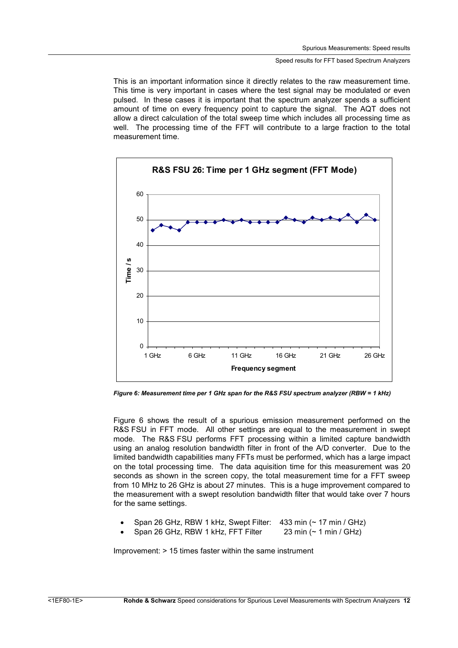This is an important information since it directly relates to the raw measurement time. This time is very important in cases where the test signal may be modulated or even pulsed. In these cases it is important that the spectrum analyzer spends a sufficient amount of time on every frequency point to capture the signal. The AQT does not allow a direct calculation of the total sweep time which includes all processing time as well. The processing time of the FFT will contribute to a large fraction to the total measurement time.



*Figure 6: Measurement time per 1 GHz span for the R&S FSU spectrum analyzer (RBW = 1 kHz)* 

Figure 6 shows the result of a spurious emission measurement performed on the R&S FSU in FFT mode. All other settings are equal to the measurement in swept mode. The R&S FSU performs FFT processing within a limited capture bandwidth using an analog resolution bandwidth filter in front of the A/D converter. Due to the limited bandwidth capabilities many FFTs must be performed, which has a large impact on the total processing time. The data aquisition time for this measurement was 20 seconds as shown in the screen copy, the total measurement time for a FFT sweep from 10 MHz to 26 GHz is about 27 minutes. This is a huge improvement compared to the measurement with a swept resolution bandwidth filter that would take over 7 hours for the same settings.

- Span 26 GHz, RBW 1 kHz, Swept Filter: 433 min (~ 17 min / GHz)
- Span 26 GHz, RBW 1 kHz, FFT Filter 23 min (~ 1 min / GHz)

Improvement: > 15 times faster within the same instrument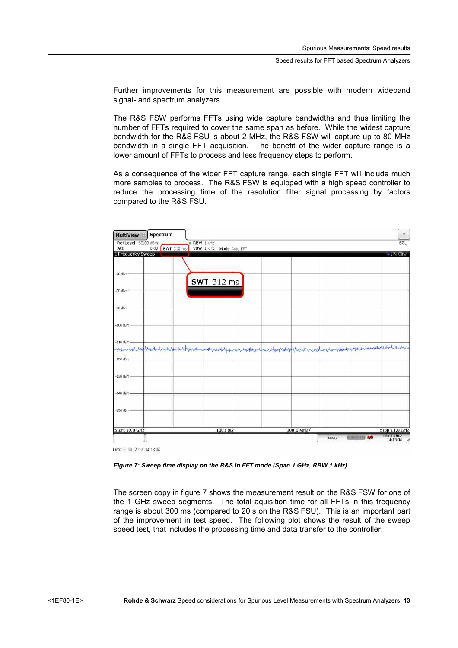Further improvements for this measurement are possible with modern wideband signal- and spectrum analyzers.

The R&S FSW performs FFTs using wide capture bandwidths and thus limiting the number of FFTs required to cover the same span as before. While the widest capture bandwidth for the R&S FSU is about 2 MHz, the R&S FSW will capture up to 80 MHz bandwidth in a single FFT acquisition. The benefit of the wider capture range is a lower amount of FFTs to process and less frequency steps to perform.

As a consequence of the wider FFT capture range, each single FFT will include much more samples to process. The R&S FSW is equipped with a high speed controller to reduce the processing time of the resolution filter signal processing by factors compared to the R&S FSU.

| <b>MultiView</b>                | Spectrum                                                                                                                           |                  |                   |               |           |       |          | $\eta$ .      |
|---------------------------------|------------------------------------------------------------------------------------------------------------------------------------|------------------|-------------------|---------------|-----------|-------|----------|---------------|
| Ref Level -60.00 dBm            |                                                                                                                                    | <b>RBW</b> 1 kHz |                   |               |           |       |          | SGL           |
| Att<br><b>1 Frequency Sweep</b> | <b>SWT</b> 312 ms<br>$0$ dB                                                                                                        | VBW 1 kHz        |                   | Mode Auto FFT |           |       |          | - IPk Claw    |
|                                 |                                                                                                                                    |                  |                   |               |           |       |          |               |
|                                 |                                                                                                                                    |                  |                   |               |           |       |          |               |
| $-70$ dBm                       |                                                                                                                                    |                  |                   |               |           |       |          |               |
|                                 |                                                                                                                                    |                  | <b>SWT</b> 312 ms |               |           |       |          |               |
| $-80$ dBm-                      |                                                                                                                                    |                  |                   |               |           |       |          |               |
|                                 |                                                                                                                                    |                  |                   |               |           |       |          |               |
| -90 dBm-                        |                                                                                                                                    |                  |                   |               |           |       |          |               |
|                                 |                                                                                                                                    |                  |                   |               |           |       |          |               |
| $-100$ dBm                      |                                                                                                                                    |                  |                   |               |           |       |          |               |
|                                 |                                                                                                                                    |                  |                   |               |           |       |          |               |
| $-110$ dBm                      | nesensymageboligen en besonder begrunn begrunnen gegrunnen gehannen besonder begrunden en anskuben den begrunden benammen besonder |                  |                   |               |           |       |          |               |
|                                 |                                                                                                                                    |                  |                   |               |           |       |          |               |
| $-120$ dBm                      |                                                                                                                                    |                  |                   |               |           |       |          |               |
| $-130$ dBm                      |                                                                                                                                    |                  |                   |               |           |       |          |               |
|                                 |                                                                                                                                    |                  |                   |               |           |       |          |               |
| $-140$ dBm                      |                                                                                                                                    |                  |                   |               |           |       |          |               |
|                                 |                                                                                                                                    |                  |                   |               |           |       |          |               |
| $-150$ dBm                      |                                                                                                                                    |                  |                   |               |           |       |          |               |
|                                 |                                                                                                                                    |                  |                   |               |           |       |          |               |
| Start 10.0 GHz                  |                                                                                                                                    |                  | $1001$ pts        |               | 100.0 MHz |       |          | Stop 11.0 GHz |
|                                 |                                                                                                                                    |                  |                   |               |           |       | 材法背景加架室室 | 06.07.2012    |
|                                 |                                                                                                                                    |                  |                   |               |           | Ready |          | 14:18:04<br>h |

Date: 6.JUL 2012 14:18:04

*Figure 7: Sweep time display on the R&S in FFT mode (Span 1 GHz, RBW 1 kHz)* 

The screen copy in figure 7 shows the measurement result on the R&S FSW for one of the 1 GHz sweep segments. The total aquisition time for all FFTs in this frequency range is about 300 ms (compared to 20 s on the R&S FSU). This is an important part of the improvement in test speed. The following plot shows the result of the sweep speed test, that includes the processing time and data transfer to the controller.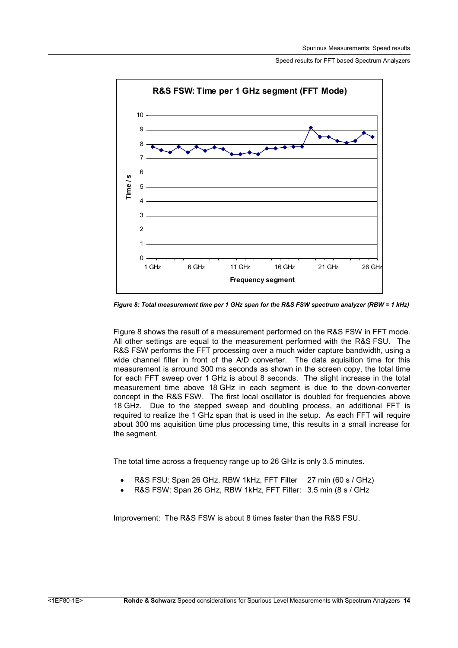

*Figure 8: Total measurement time per 1 GHz span for the R&S FSW spectrum analyzer (RBW = 1 kHz)* 

Figure 8 shows the result of a measurement performed on the R&S FSW in FFT mode. All other settings are equal to the measurement performed with the R&S FSU. The R&S FSW performs the FFT processing over a much wider capture bandwidth, using a wide channel filter in front of the A/D converter. The data aquisition time for this measurement is arround 300 ms seconds as shown in the screen copy, the total time for each FFT sweep over 1 GHz is about 8 seconds. The slight increase in the total measurement time above 18 GHz in each segment is due to the down-converter concept in the R&S FSW. The first local oscillator is doubled for frequencies above 18 GHz. Due to the stepped sweep and doubling process, an additional FFT is required to realize the 1 GHz span that is used in the setup. As each FFT will require about 300 ms aquisition time plus processing time, this results in a small increase for the segment.

The total time across a frequency range up to 26 GHz is only 3.5 minutes.

- R&S FSU: Span 26 GHz, RBW 1kHz, FFT Filter 27 min (60 s / GHz)
- R&S FSW: Span 26 GHz, RBW 1kHz, FFT Filter: 3.5 min (8 s / GHz

Improvement: The R&S FSW is about 8 times faster than the R&S FSU.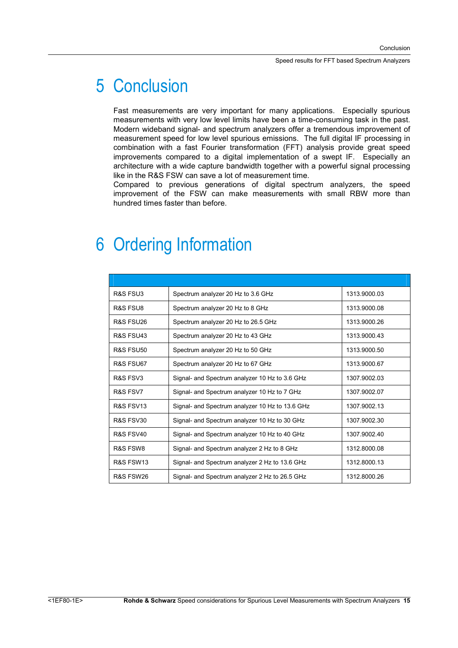## 5 Conclusion

Fast measurements are very important for many applications. Especially spurious measurements with very low level limits have been a time-consuming task in the past. Modern wideband signal- and spectrum analyzers offer a tremendous improvement of measurement speed for low level spurious emissions. The full digital IF processing in combination with a fast Fourier transformation (FFT) analysis provide great speed improvements compared to a digital implementation of a swept IF. Especially an architecture with a wide capture bandwidth together with a powerful signal processing like in the R&S FSW can save a lot of measurement time.

Compared to previous generations of digital spectrum analyzers, the speed improvement of the FSW can make measurements with small RBW more than hundred times faster than before.

## 6 Ordering Information

| R&S FSU3             | Spectrum analyzer 20 Hz to 3.6 GHz              | 1313.9000.03 |
|----------------------|-------------------------------------------------|--------------|
| R&S ESU8             | Spectrum analyzer 20 Hz to 8 GHz                | 1313.9000.08 |
| R&S FSU26            | Spectrum analyzer 20 Hz to 26.5 GHz             | 1313.9000.26 |
| R&S FSU43            | Spectrum analyzer 20 Hz to 43 GHz               | 1313.9000.43 |
| R&S FSU50            | Spectrum analyzer 20 Hz to 50 GHz               | 1313.9000.50 |
| R&S FSU67            | Spectrum analyzer 20 Hz to 67 GHz               | 1313.9000.67 |
| R&S FSV3             | Signal- and Spectrum analyzer 10 Hz to 3.6 GHz  | 1307.9002.03 |
| R&S FSV7             | Signal- and Spectrum analyzer 10 Hz to 7 GHz    | 1307.9002.07 |
| R&S FSV13            | Signal- and Spectrum analyzer 10 Hz to 13.6 GHz | 1307.9002.13 |
| <b>R&amp;S FSV30</b> | Signal- and Spectrum analyzer 10 Hz to 30 GHz   | 1307.9002.30 |
| R&S FSV40            | Signal- and Spectrum analyzer 10 Hz to 40 GHz   | 1307.9002.40 |
| R&S FSW8             | Signal- and Spectrum analyzer 2 Hz to 8 GHz     | 1312.8000.08 |
| R&S FSW13            | Signal- and Spectrum analyzer 2 Hz to 13.6 GHz  | 1312.8000.13 |
| R&S FSW26            | Signal- and Spectrum analyzer 2 Hz to 26.5 GHz  | 1312.8000.26 |